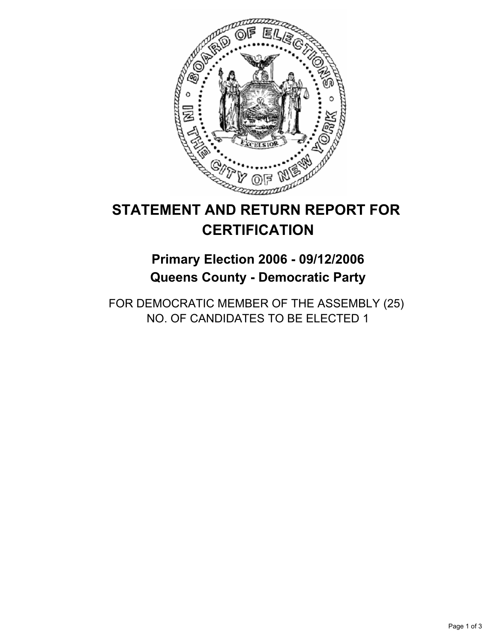

# **STATEMENT AND RETURN REPORT FOR CERTIFICATION**

## **Primary Election 2006 - 09/12/2006 Queens County - Democratic Party**

FOR DEMOCRATIC MEMBER OF THE ASSEMBLY (25) NO. OF CANDIDATES TO BE ELECTED 1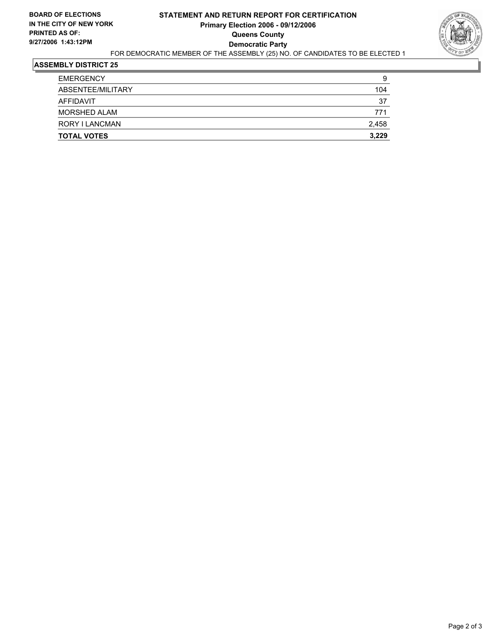

#### **ASSEMBLY DISTRICT 25**

| <b>TOTAL VOTES</b> | 3,229 |
|--------------------|-------|
| RORY I LANCMAN     | 2,458 |
| MORSHED ALAM       | 771   |
| AFFIDAVIT          | 37    |
| ABSENTEE/MILITARY  | 104   |
| <b>EMERGENCY</b>   | 9     |